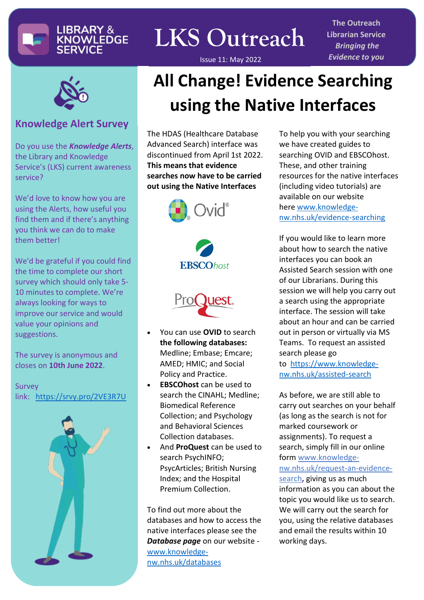

# **LKS Outreach**

Issue 11: May 2022

**The Outreach Librarian Service** *Bringing the Evidence to you*



### **Knowledge Alert Survey**

Do you use the *Knowledge Alerts*, the Library and Knowledge Service's (LKS) current awareness service?

We'd love to know how you are using the Alerts, how useful you find them and if there's anything you think we can do to make them better!

We'd be grateful if you could find the time to complete our short survey which should only take 5- 10 minutes to complete. We're always looking for ways to improve our service and would value your opinions and suggestions.

The survey is anonymous and closes on **10th June 2022**.

Survey link: <https://srvy.pro/2VE3R7U>



### **All Change! Evidence Searching using the Native Interfaces**

The HDAS (Healthcare Database Advanced Search) interface was discontinued from April 1st 2022. **This means that evidence searches now have to be carried out using the Native Interfaces**







- You can use **OVID** to search **the following databases:**  Medline; Embase; Emcare; AMED; HMIC; and Social Policy and Practice.
- **EBSCOhost** can be used to search the CINAHL; Medline; Biomedical Reference Collection; and Psychology and Behavioral Sciences Collection databases.
- And **ProQuest** can be used to search PsychINFO; PsycArticles; British Nursing Index; and the Hospital Premium Collection.

To find out more about the databases and how to access the native interfaces please see the *Database page* on our website [www.knowledge](http://www.knowledge-nw.nhs.uk/databases)[nw.nhs.uk/databases](http://www.knowledge-nw.nhs.uk/databases)

To help you with your searching we have created guides to searching OVID and EBSCOhost. These, and other training resources for the native interfaces (including video tutorials) are available on our website here [www.knowledge](https://www.knowledge-nw.nhs.uk/evidence-searching)[nw.nhs.uk/evidence-searching](https://www.knowledge-nw.nhs.uk/evidence-searching)

If you would like to learn more about how to search the native interfaces you can book an Assisted Search session with one of our Librarians. During this session we will help you carry out a search using the appropriate interface. The session will take about an hour and can be carried out in person or virtually via MS Teams. To request an assisted search please go to [https://www.knowledge-](https://www.knowledge-nw.nhs.uk/assisted-search)

[nw.nhs.uk/assisted-search](https://www.knowledge-nw.nhs.uk/assisted-search)

As before, we are still able to carry out searches on your behalf (as long as the search is not for marked coursework or assignments). To request a search, simply fill in our online form [www.knowledge](https://www.knowledge-nw.nhs.uk/request-an-evidence-search)[nw.nhs.uk/request-an-evidence](https://www.knowledge-nw.nhs.uk/request-an-evidence-search)[search](https://www.knowledge-nw.nhs.uk/request-an-evidence-search)**,** giving us as much information as you can about the topic you would like us to search. We will carry out the search for you, using the relative databases and email the results within 10 working days.